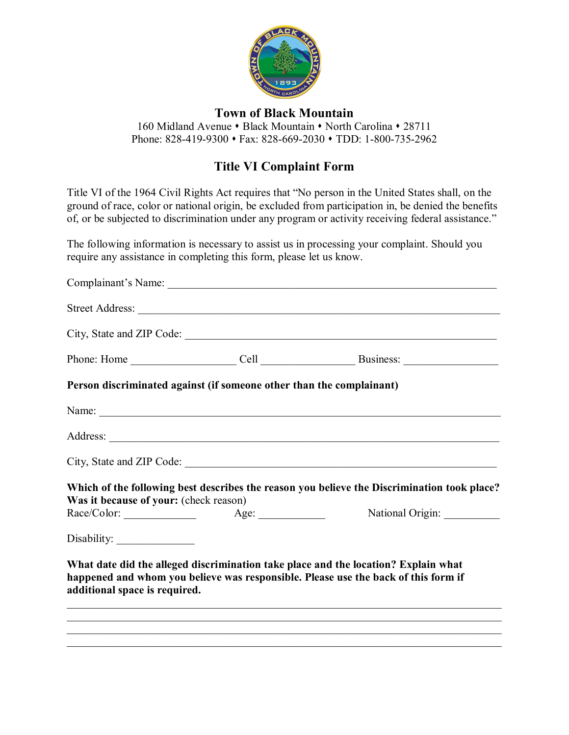

## **Town of Black Mountain**

160 Midland Avenue • Black Mountain • North Carolina • 28711 Phone: 828-419-9300 • Fax: 828-669-2030 • TDD: 1-800-735-2962

## **Title VI Complaint Form**

Title VI of the 1964 Civil Rights Act requires that "No person in the United States shall, on the ground of race, color or national origin, be excluded from participation in, be denied the benefits of, or be subjected to discrimination under any program or activity receiving federal assistance."

The following information is necessary to assist us in processing your complaint. Should you require any assistance in completing this form, please let us know.

|                                        |                                                                      | City, State and ZIP Code:                                                                                                                                                                                                                                                                        |
|----------------------------------------|----------------------------------------------------------------------|--------------------------------------------------------------------------------------------------------------------------------------------------------------------------------------------------------------------------------------------------------------------------------------------------|
|                                        |                                                                      |                                                                                                                                                                                                                                                                                                  |
|                                        | Person discriminated against (if someone other than the complainant) |                                                                                                                                                                                                                                                                                                  |
|                                        |                                                                      |                                                                                                                                                                                                                                                                                                  |
|                                        |                                                                      |                                                                                                                                                                                                                                                                                                  |
|                                        |                                                                      | City, State and ZIP Code:                                                                                                                                                                                                                                                                        |
| Was it because of your: (check reason) |                                                                      | Which of the following best describes the reason you believe the Discrimination took place?                                                                                                                                                                                                      |
|                                        |                                                                      | National Origin:                                                                                                                                                                                                                                                                                 |
|                                        |                                                                      |                                                                                                                                                                                                                                                                                                  |
| additional space is required.          |                                                                      | What date did the alleged discrimination take place and the location? Explain what<br>happened and whom you believe was responsible. Please use the back of this form if<br><u> 1989 - Andrea Santa Andrea Andrea Andrea Andrea Andrea Andrea Andrea Andrea Andrea Andrea Andrea Andrea Andr</u> |
|                                        |                                                                      | ,我们也不能会在这里,我们的人们就会在这里,我们的人们就会在这里,我们也不会在这里,我们也不会在这里,我们也不会在这里,我们也不会在这里,我们也不会在这里,我们                                                                                                                                                                                                                 |
|                                        |                                                                      |                                                                                                                                                                                                                                                                                                  |